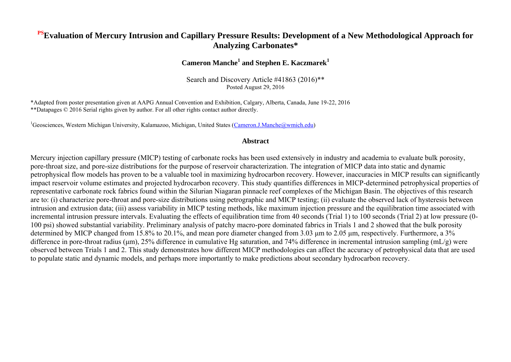## **PSEvaluation of Mercury Intrusion and Capillary Pressure Results: Development of a New Methodological Approach for Analyzing Carbonates\***

### **Cameron Manche<sup>1</sup> and Stephen E. Kaczmarek<sup>1</sup>**

Search and Discovery Article #41863 (2016)\*\* Posted August 29, 2016

\*Adapted from poster presentation given at AAPG Annual Convention and Exhibition, Calgary, Alberta, Canada, June 19-22, 2016 \*\*Datapages © 2016 Serial rights given by author. For all other rights contact author directly.

<sup>1</sup>Geosciences, Western Michigan University, Kalamazoo, Michigan, United States [\(Cameron.J.Manche@wmich.edu\)](mailto:Cameron.J.Manche@wmich.edu)

#### **Abstract**

Mercury injection capillary pressure (MICP) testing of carbonate rocks has been used extensively in industry and academia to evaluate bulk porosity, pore-throat size, and pore-size distributions for the purpose of reservoir characterization. The integration of MICP data into static and dynamic petrophysical flow models has proven to be a valuable tool in maximizing hydrocarbon recovery. However, inaccuracies in MICP results can significantly impact reservoir volume estimates and projected hydrocarbon recovery. This study quantifies differences in MICP-determined petrophysical properties of representative carbonate rock fabrics found within the Silurian Niagaran pinnacle reef complexes of the Michigan Basin. The objectives of this research are to: (i) characterize pore-throat and pore-size distributions using petrographic and MICP testing; (ii) evaluate the observed lack of hysteresis between intrusion and extrusion data; (iii) assess variability in MICP testing methods, like maximum injection pressure and the equilibration time associated with incremental intrusion pressure intervals. Evaluating the effects of equilibration time from 40 seconds (Trial 1) to 100 seconds (Trial 2) at low pressure (0- 100 psi) showed substantial variability. Preliminary analysis of patchy macro-pore dominated fabrics in Trials 1 and 2 showed that the bulk porosity determined by MICP changed from 15.8% to 20.1%, and mean pore diameter changed from 3.03 μm to 2.05 μm, respectively. Furthermore, a 3% difference in pore-throat radius (μm), 25% difference in cumulative Hg saturation, and 74% difference in incremental intrusion sampling (mL/g) were observed between Trials 1 and 2. This study demonstrates how different MICP methodologies can affect the accuracy of petrophysical data that are used to populate static and dynamic models, and perhaps more importantly to make predictions about secondary hydrocarbon recovery.